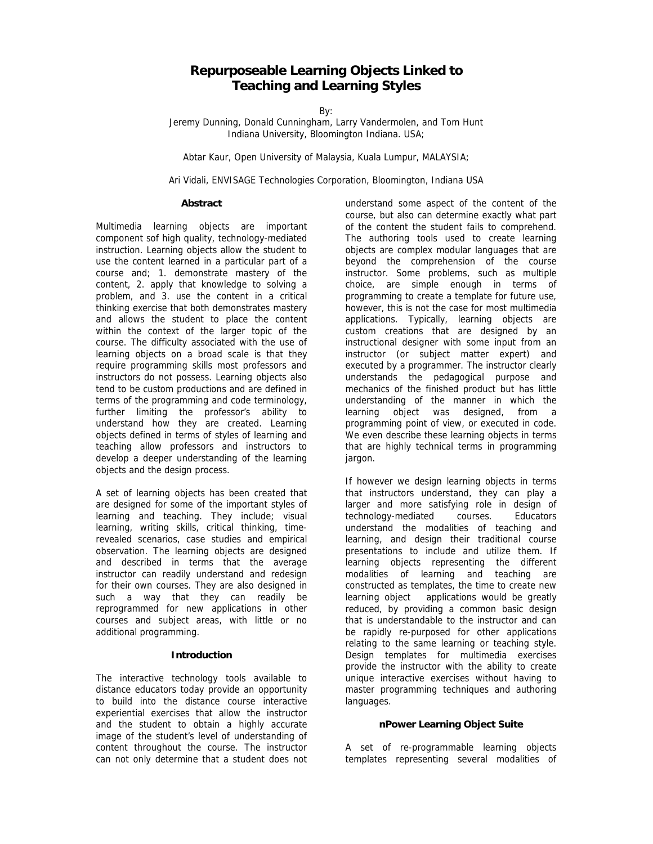# **Repurposeable Learning Objects Linked to Teaching and Learning Styles**

By:

Jeremy Dunning, Donald Cunningham, Larry Vandermolen, and Tom Hunt Indiana University, Bloomington Indiana. USA;

Abtar Kaur, Open University of Malaysia, Kuala Lumpur, MALAYSIA;

Ari Vidali, ENVISAGE Technologies Corporation, Bloomington, Indiana USA

#### **Abstract**

Multimedia learning objects are important component sof high quality, technology-mediated instruction. Learning objects allow the student to use the content learned in a particular part of a course and; 1. demonstrate mastery of the content, 2. apply that knowledge to solving a problem, and 3. use the content in a critical thinking exercise that both demonstrates mastery and allows the student to place the content within the context of the larger topic of the course. The difficulty associated with the use of learning objects on a broad scale is that they require programming skills most professors and instructors do not possess. Learning objects also tend to be custom productions and are defined in terms of the programming and code terminology, further limiting the professor's ability to understand how they are created. Learning objects defined in terms of styles of learning and teaching allow professors and instructors to develop a deeper understanding of the learning objects and the design process.

A set of learning objects has been created that are designed for some of the important styles of learning and teaching. They include; visual learning, writing skills, critical thinking, timerevealed scenarios, case studies and empirical observation. The learning objects are designed and described in terms that the average instructor can readily understand and redesign for their own courses. They are also designed in such a way that they can readily be reprogrammed for new applications in other courses and subject areas, with little or no additional programming.

#### **Introduction**

The interactive technology tools available to distance educators today provide an opportunity to build into the distance course interactive experiential exercises that allow the instructor and the student to obtain a highly accurate image of the student's level of understanding of content throughout the course. The instructor can not only determine that a student does not

understand some aspect of the content of the course, but also can determine exactly what part of the content the student fails to comprehend. The authoring tools used to create learning objects are complex modular languages that are beyond the comprehension of the course instructor. Some problems, such as multiple choice, are simple enough in terms of programming to create a template for future use, however, this is not the case for most multimedia applications. Typically, learning objects are custom creations that are designed by an instructional designer with some input from an instructor (or subject matter expert) and executed by a programmer. The instructor clearly understands the pedagogical purpose and mechanics of the finished product but has little understanding of the manner in which the learning object was designed, from a programming point of view, or executed in code. We even describe these learning objects in terms that are highly technical terms in programming jargon.

If however we design learning objects in terms that instructors understand, they can play a larger and more satisfying role in design of technology-mediated courses. Educators understand the modalities of teaching and learning, and design their traditional course presentations to include and utilize them. If learning objects representing the different modalities of learning and teaching are constructed as templates, the time to create new learning object applications would be greatly reduced, by providing a common basic design that is understandable to the instructor and can be rapidly re-purposed for other applications relating to the same learning or teaching style. Design templates for multimedia exercises provide the instructor with the ability to create unique interactive exercises without having to master programming techniques and authoring languages.

#### **nPower Learning Object Suite**

A set of re-programmable learning objects templates representing several modalities of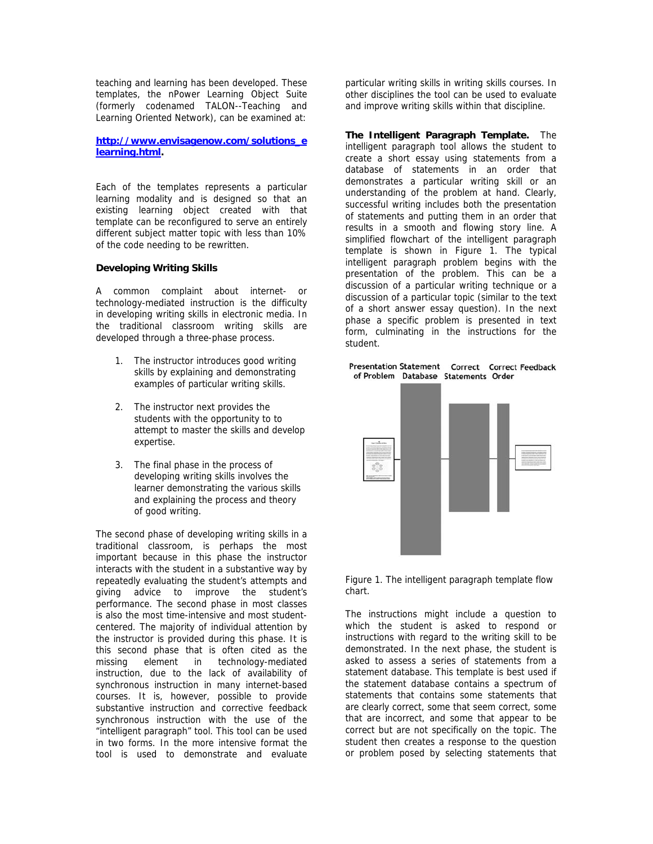teaching and learning has been developed. These templates, the nPower Learning Object Suite (formerly codenamed TALON--Teaching and Learning Oriented Network), can be examined at:

## **http://www.envisagenow.com/solutions\_e learning.html.**

Each of the templates represents a particular learning modality and is designed so that an existing learning object created with that template can be reconfigured to serve an entirely different subject matter topic with less than 10% of the code needing to be rewritten.

# **Developing Writing Skills**

A common complaint about internet- or technology-mediated instruction is the difficulty in developing writing skills in electronic media. In the traditional classroom writing skills are developed through a three-phase process.

- 1. The instructor introduces good writing skills by explaining and demonstrating examples of particular writing skills.
- 2. The instructor next provides the students with the opportunity to to attempt to master the skills and develop expertise.
- 3. The final phase in the process of developing writing skills involves the learner demonstrating the various skills and explaining the process and theory of good writing.

The second phase of developing writing skills in a traditional classroom, is perhaps the most important because in this phase the instructor interacts with the student in a substantive way by repeatedly evaluating the student's attempts and giving advice to improve the student's performance. The second phase in most classes is also the most time-intensive and most studentcentered. The majority of individual attention by the instructor is provided during this phase. It is this second phase that is often cited as the missing element in technology-mediated instruction, due to the lack of availability of synchronous instruction in many internet-based courses. It is, however, possible to provide substantive instruction and corrective feedback synchronous instruction with the use of the "intelligent paragraph" tool. This tool can be used in two forms. In the more intensive format the tool is used to demonstrate and evaluate

particular writing skills in writing skills courses. In other disciplines the tool can be used to evaluate and improve writing skills within that discipline.

**The Intelligent Paragraph Template.** The intelligent paragraph tool allows the student to create a short essay using statements from a database of statements in an order that demonstrates a particular writing skill or an understanding of the problem at hand. Clearly, successful writing includes both the presentation of statements and putting them in an order that results in a smooth and flowing story line. A simplified flowchart of the intelligent paragraph template is shown in Figure 1. The typical intelligent paragraph problem begins with the presentation of the problem. This can be a discussion of a particular writing technique or a discussion of a particular topic (similar to the text of a short answer essay question). In the next phase a specific problem is presented in text form, culminating in the instructions for the student.

Presentation Statement Correct Correct Feedback of Problem Database Statements Order





The instructions might include a question to which the student is asked to respond or instructions with regard to the writing skill to be demonstrated. In the next phase, the student is asked to assess a series of statements from a statement database. This template is best used if the statement database contains a spectrum of statements that contains some statements that are clearly correct, some that seem correct, some that are incorrect, and some that appear to be correct but are not specifically on the topic. The student then creates a response to the question or problem posed by selecting statements that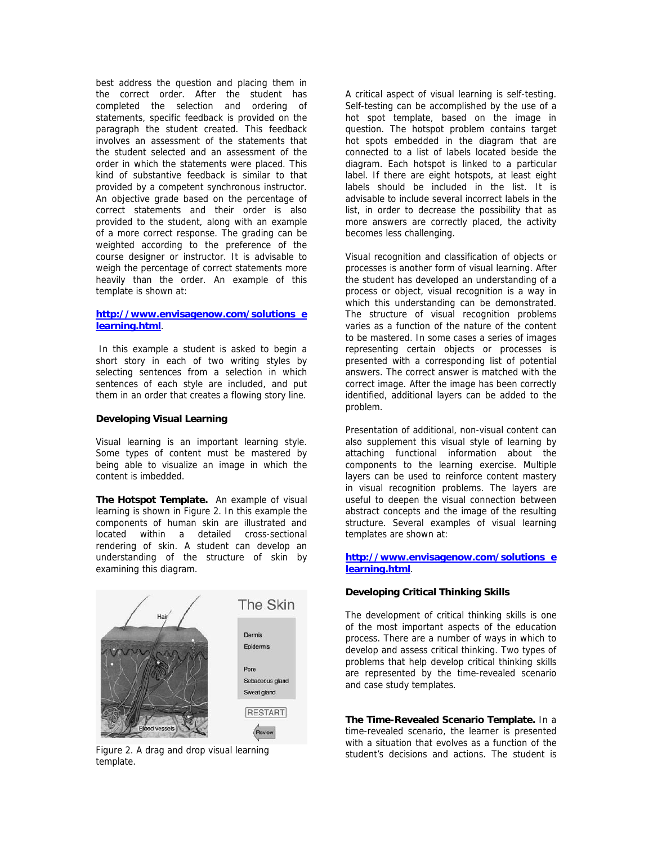best address the question and placing them in the correct order. After the student has completed the selection and ordering of statements, specific feedback is provided on the paragraph the student created. This feedback involves an assessment of the statements that the student selected and an assessment of the order in which the statements were placed. This kind of substantive feedback is similar to that provided by a competent synchronous instructor. An objective grade based on the percentage of correct statements and their order is also provided to the student, along with an example of a more correct response. The grading can be weighted according to the preference of the course designer or instructor. It is advisable to weigh the percentage of correct statements more heavily than the order. An example of this template is shown at:

### **http://www.envisagenow.com/solutions\_e learning.html**.

 In this example a student is asked to begin a short story in each of two writing styles by selecting sentences from a selection in which sentences of each style are included, and put them in an order that creates a flowing story line.

### **Developing Visual Learning**

Visual learning is an important learning style. Some types of content must be mastered by being able to visualize an image in which the content is imbedded.

**The Hotspot Template.** An example of visual learning is shown in Figure 2. In this example the components of human skin are illustrated and located within a detailed cross-sectional rendering of skin. A student can develop an understanding of the structure of skin by examining this diagram.



Figure 2. A drag and drop visual learning template.

A critical aspect of visual learning is self-testing. Self-testing can be accomplished by the use of a hot spot template, based on the image in question. The hotspot problem contains target hot spots embedded in the diagram that are connected to a list of labels located beside the diagram. Each hotspot is linked to a particular label. If there are eight hotspots, at least eight labels should be included in the list. It is advisable to include several incorrect labels in the list, in order to decrease the possibility that as more answers are correctly placed, the activity becomes less challenging.

Visual recognition and classification of objects or processes is another form of visual learning. After the student has developed an understanding of a process or object, visual recognition is a way in which this understanding can be demonstrated. The structure of visual recognition problems varies as a function of the nature of the content to be mastered. In some cases a series of images representing certain objects or processes is presented with a corresponding list of potential answers. The correct answer is matched with the correct image. After the image has been correctly identified, additional layers can be added to the problem.

Presentation of additional, non-visual content can also supplement this visual style of learning by attaching functional information about the components to the learning exercise. Multiple layers can be used to reinforce content mastery in visual recognition problems. The layers are useful to deepen the visual connection between abstract concepts and the image of the resulting structure. Several examples of visual learning templates are shown at:

# **http://www.envisagenow.com/solutions\_e learning.html**.

# **Developing Critical Thinking Skills**

The development of critical thinking skills is one of the most important aspects of the education process. There are a number of ways in which to develop and assess critical thinking. Two types of problems that help develop critical thinking skills are represented by the time-revealed scenario and case study templates.

**The Time-Revealed Scenario Template.** In a time-revealed scenario, the learner is presented with a situation that evolves as a function of the student's decisions and actions. The student is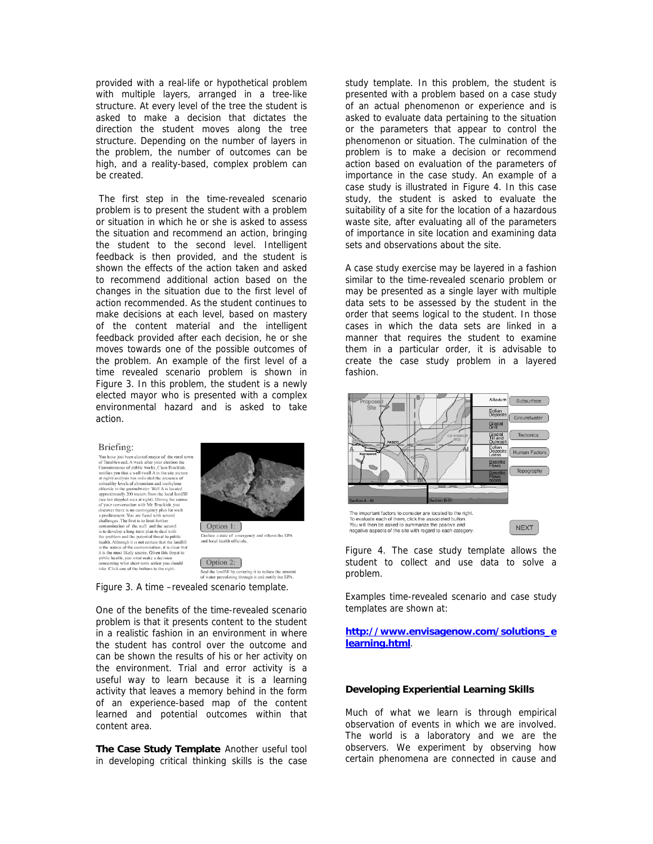provided with a real-life or hypothetical problem with multiple layers, arranged in a tree-like structure. At every level of the tree the student is asked to make a decision that dictates the direction the student moves along the tree structure. Depending on the number of layers in the problem, the number of outcomes can be high, and a reality-based, complex problem can be created.

 The first step in the time-revealed scenario problem is to present the student with a problem or situation in which he or she is asked to assess the situation and recommend an action, bringing the student to the second level. Intelligent feedback is then provided, and the student is shown the effects of the action taken and asked to recommend additional action based on the changes in the situation due to the first level of action recommended. As the student continues to make decisions at each level, based on mastery of the content material and the intelligent feedback provided after each decision, he or she moves towards one of the possible outcomes of the problem. An example of the first level of a time revealed scenario problem is shown in Figure 3. In this problem, the student is a newly elected mayor who is presented with a complex environmental hazard and is asked to take action.

#### Briefing:

**Brite Finge:**<br>
You have just been elected may<br>or of the rural town of Tunnibleveed. A week after your election the<br>
You have of Tunnibleveed. A week after your election the<br>
Commissione of public works. Clem Brackish.<br>
m





Seal the landfill by covering it to reduce the amount<br>of water percolating through it and notify the EPA.

Option 2:

Figure 3. A time –revealed scenario template.

One of the benefits of the time-revealed scenario problem is that it presents content to the student in a realistic fashion in an environment in where the student has control over the outcome and can be shown the results of his or her activity on the environment. Trial and error activity is a useful way to learn because it is a learning activity that leaves a memory behind in the form of an experience-based map of the content learned and potential outcomes within that content area.

**The Case Study Template** Another useful tool in developing critical thinking skills is the case study template. In this problem, the student is presented with a problem based on a case study of an actual phenomenon or experience and is asked to evaluate data pertaining to the situation or the parameters that appear to control the phenomenon or situation. The culmination of the problem is to make a decision or recommend action based on evaluation of the parameters of importance in the case study. An example of a case study is illustrated in Figure 4. In this case study, the student is asked to evaluate the suitability of a site for the location of a hazardous waste site, after evaluating all of the parameters of importance in site location and examining data sets and observations about the site.

A case study exercise may be layered in a fashion similar to the time-revealed scenario problem or may be presented as a single layer with multiple data sets to be assessed by the student in the order that seems logical to the student. In those cases in which the data sets are linked in a manner that requires the student to examine them in a particular order, it is advisable to create the case study problem in a layered fashion.



Figure 4. The case study template allows the student to collect and use data to solve a problem.

Examples time-revealed scenario and case study templates are shown at:

**http://www.envisagenow.com/solutions\_e learning.html**.

### **Developing Experiential Learning Skills**

Much of what we learn is through empirical observation of events in which we are involved. The world is a laboratory and we are the observers. We experiment by observing how certain phenomena are connected in cause and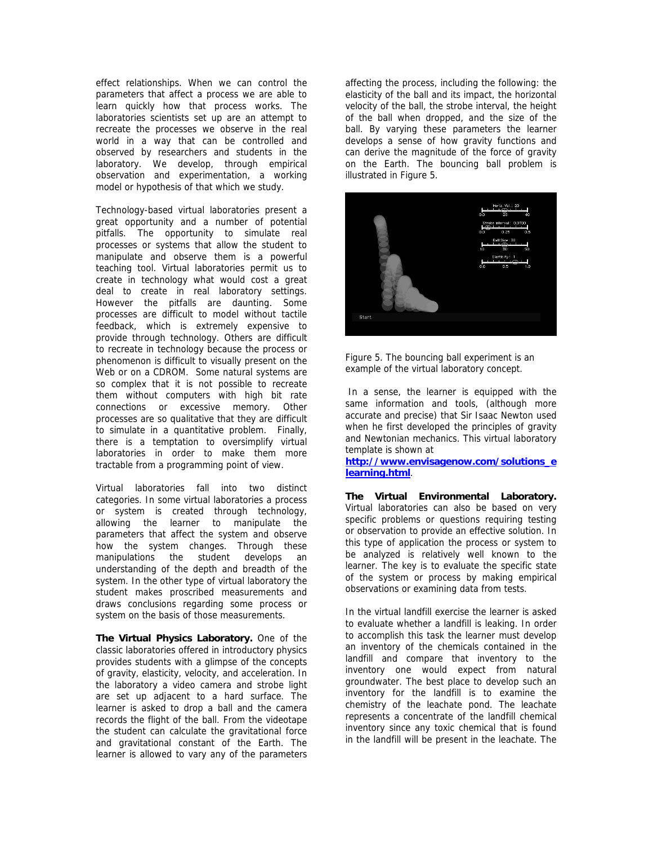effect relationships. When we can control the parameters that affect a process we are able to learn quickly how that process works. The laboratories scientists set up are an attempt to recreate the processes we observe in the real world in a way that can be controlled and observed by researchers and students in the laboratory. We develop, through empirical observation and experimentation, a working model or hypothesis of that which we study.

Technology-based virtual laboratories present a great opportunity and a number of potential pitfalls. The opportunity to simulate real processes or systems that allow the student to manipulate and observe them is a powerful teaching tool. Virtual laboratories permit us to create in technology what would cost a great deal to create in real laboratory settings. However the pitfalls are daunting. Some processes are difficult to model without tactile feedback, which is extremely expensive to provide through technology. Others are difficult to recreate in technology because the process or phenomenon is difficult to visually present on the Web or on a CDROM. Some natural systems are so complex that it is not possible to recreate them without computers with high bit rate connections or excessive memory. Other processes are so qualitative that they are difficult to simulate in a quantitative problem. Finally, there is a temptation to oversimplify virtual laboratories in order to make them more tractable from a programming point of view.

Virtual laboratories fall into two distinct categories. In some virtual laboratories a process or system is created through technology, allowing the learner to manipulate the parameters that affect the system and observe how the system changes. Through these manipulations the student develops an understanding of the depth and breadth of the system. In the other type of virtual laboratory the student makes proscribed measurements and draws conclusions regarding some process or system on the basis of those measurements.

**The Virtual Physics Laboratory.** One of the classic laboratories offered in introductory physics provides students with a glimpse of the concepts of gravity, elasticity, velocity, and acceleration. In the laboratory a video camera and strobe light are set up adjacent to a hard surface. The learner is asked to drop a ball and the camera records the flight of the ball. From the videotape the student can calculate the gravitational force and gravitational constant of the Earth. The learner is allowed to vary any of the parameters

affecting the process, including the following: the elasticity of the ball and its impact, the horizontal velocity of the ball, the strobe interval, the height of the ball when dropped, and the size of the ball. By varying these parameters the learner develops a sense of how gravity functions and can derive the magnitude of the force of gravity on the Earth. The bouncing ball problem is illustrated in Figure 5.



Figure 5. The bouncing ball experiment is an example of the virtual laboratory concept.

 In a sense, the learner is equipped with the same information and tools, (although more accurate and precise) that Sir Isaac Newton used when he first developed the principles of gravity and Newtonian mechanics. This virtual laboratory template is shown at

**http://www.envisagenow.com/solutions\_e learning.html**.

**The Virtual Environmental Laboratory.**  Virtual laboratories can also be based on very specific problems or questions requiring testing or observation to provide an effective solution. In this type of application the process or system to be analyzed is relatively well known to the learner. The key is to evaluate the specific state of the system or process by making empirical observations or examining data from tests.

In the virtual landfill exercise the learner is asked to evaluate whether a landfill is leaking. In order to accomplish this task the learner must develop an inventory of the chemicals contained in the landfill and compare that inventory to the inventory one would expect from natural groundwater. The best place to develop such an inventory for the landfill is to examine the chemistry of the leachate pond. The leachate represents a concentrate of the landfill chemical inventory since any toxic chemical that is found in the landfill will be present in the leachate. The